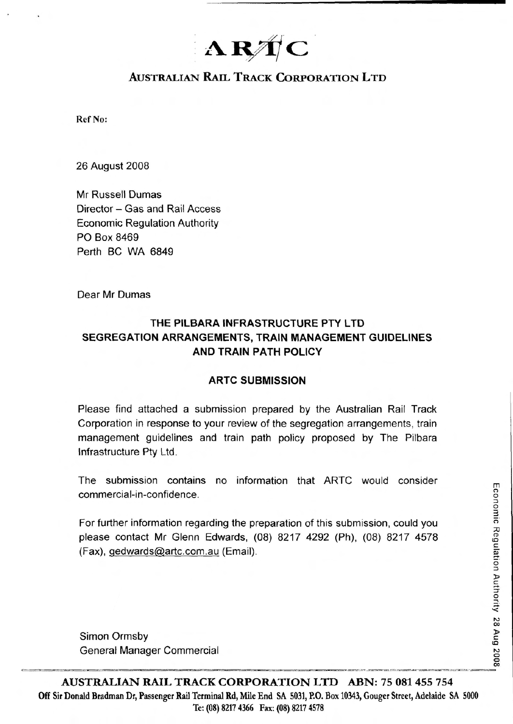# ARTC

# **AUSTRALIAN RAIL TRACK CORPORATION LTD**

**Ref No:** 

**26 August 2008** 

Mr Russell Dumas Director - Gas and Rail Access **Economic Regulation Authority** PO Box 8469 Perth BC WA 6849

Dear Mr Dumas

# THE PILBARA INFRASTRUCTURE PTY LTD **SEGREGATION ARRANGEMENTS, TRAIN MANAGEMENT GUIDELINES AND TRAIN PATH POLICY**

# **ARTC SUBMISSION**

Please find attached a submission prepared by the Australian Rail Track Corporation in response to your review of the segregation arrangements, train management guidelines and train path policy proposed by The Pilbara Infrastructure Pty Ltd.

The submission contains no information that ARTC would consider commercial-in-confidence.

For further information regarding the preparation of this submission, could you please contact Mr Glenn Edwards, (08) 8217 4292 (Ph), (08) 8217 4578 (Fax), gedwards@artc.com.au (Email).

Simon Ormsby General Manager Commercial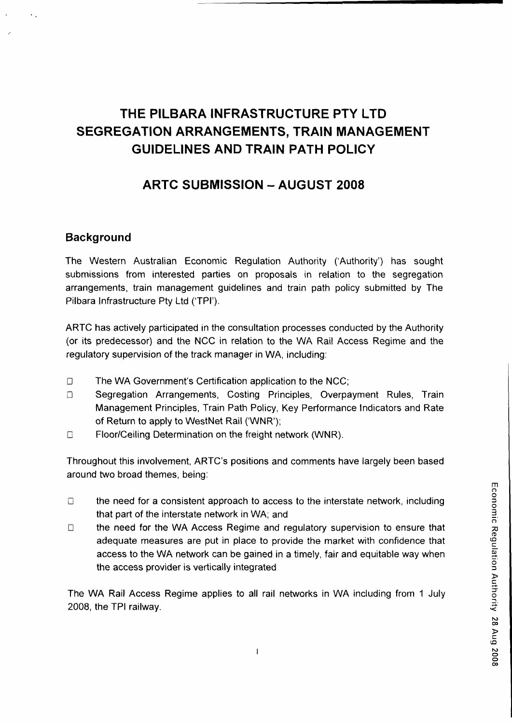# THE PILBARA INFRASTRUCTURE PTY LTD SEGREGATION ARRANGEMENTS, TRAIN MANAGEMENT GUIDELINES AND TRAIN PATH POLICY

# ARTC SUBMISSION - AUGUST 2008

# **Background**

The Western Australian Economic Regulation Authority ('Authority') has sought submissions from interested parties on proposals in relation to the segregation arrangements, train management guidelines and train path policy submitted by The Pilbara Infrastructure Pty Ltd ('TPI').

ARTC has actively participated in the consultation processes conducted by the Authority (or its predecessor) and the NCC in relation to the WA Rail Access Regime and the regulatory supervision of the track manager in WA, including:

- $\Box$  The WA Government's Certification application to the NCC;
- D Segregation Arrangements, Costing Principles, Overpayment Rules, Train Management Principles, Train Path Policy, Key Performance Indicators and Rate of Return to apply to WestNet Rail ('WNR');
- □ Floor/Ceiling Determination on the freight network (WNR).

Throughout this involvement, ARTC's positions and comments have largely been based around two broad themes, being:

- $\Box$  the need for a consistent approach to access to the interstate network, including that part of the interstate network in WA; and
- D the need for the WA Access Regime and regulatory supervision to ensure that 73 access to the WA network can be gained in a timely, fair and equitable way when the access provider is vertically integrated

The WA Rail Access Regime applies to all rail networks in WA including from 1 July 2008, the TPI railway.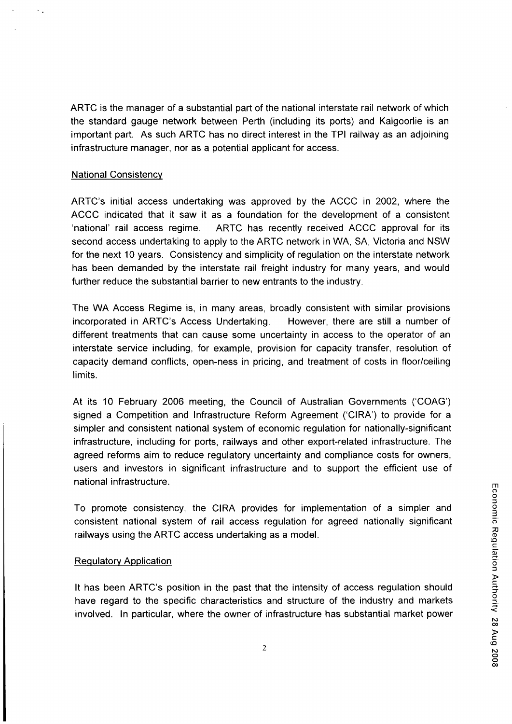ARTC is the manager of a substantial part of the national interstate rail network of which the standard gauge network between Perth (including its ports) and Kalgoorlie is an important part. As such ARTC has no direct interest in the TPI railway as an adjoining infrastructure manager, nor as a potential applicant for access.

#### National Consistency

 $\sim$  .

ARTC's initial access undertaking was approved by the ACCC in 2002, where the ACCC indicated that it saw it as a foundation for the development of a consistent 'national' rail access regime. ARTC has recently received ACCC approval for its second access undertaking to apply to the ARTC network in WA, SA, Victoria and NSW for the next 10 years. Consistency and simplicity of regulation on the interstate network has been demanded by the interstate rail freight industry for many years, and would further reduce the substantial barrier to new entrants to the industry.

The WA Access Regime is, in many areas, broadly consistent with similar provisions incorporated in ARTC's Access Undertaking. However, there are still a number of different treatments that can cause some uncertainty in access to the operator of an interstate service including, for example, provision for capacity transfer, resolution of capacity demand conflicts, open-ness in pricing, and treatment of costs in floor/ceiling limits.

At its 10 February 2006 meeting, the Council of Australian Governments ('COAG') signed a Competition and Infrastructure Reform Agreement ('CIRA') to provide for a simpler and consistent national system of economic regulation for nationally-significant infrastructure, including for ports, railways and other export-related infrastructure. The agreed reforms aim to reduce regulatory uncertainty and compliance costs for owners, users and investors in significant infrastructure and to support the efficient use of national infrastructure.

To promote consistency, the CIRA provides for implementation of a simpler and consistent national system of rail access regulation for agreed nationally significant railways using the ARTC access undertaking as a model.

# **Regulatory Application**

It has been ARTC's position in the past that the intensity of access regulation should have regard to the specific characteristics and structure of the industry and markets involved. In particular, where the owner of infrastructure has substantial market power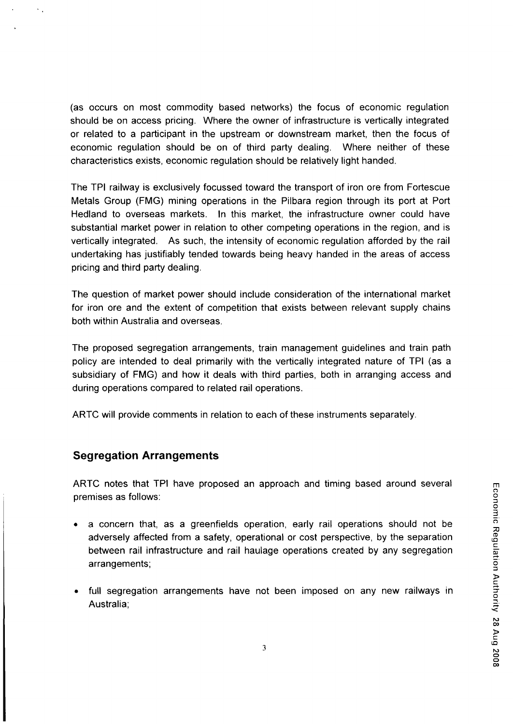(as occurs on most commodity based networks) the focus of economic regulation should be on access pricing. Where the owner of infrastructure is vertically integrated or related to a participant in the upstream or downstream market, then the focus of economic regulation should be on of third party dealing. Where neither of these characteristics exists, economic regulation should be relatively light handed.

The TPI railway is exclusively focussed toward the transport of iron ore from Fortescue Metals Group (FMG) mining operations in the Pilbara region through its port at Port Hedland to overseas markets. In this market, the infrastructure owner could have substantial market power in relation to other competing operations in the region, and is vertically integrated. As such, the intensity of economic regulation afforded by the rail undertaking has justifiably tended towards being heavy handed in the areas of access pricing and third party dealing.

The question of market power should include consideration of the international market for iron ore and the extent of competition that exists between relevant supply chains both within Australia and overseas.

The proposed segregation arrangements, train management guidelines and train path policy are intended to deal primarily with the vertically integrated nature of TPI (as a subsidiary of FMG) and how it deals with third parties, both in arranging access and during operations compared to related rail operations.

ARTC will provide comments in relation to each of these instruments separately.

# Segregation Arrangements

 $\mathcal{L}_{\mathcal{A}}$ 

ARTC notes that TPI have proposed an approach and timing based around several premises as follows: <sup>2</sup>

- a concern that, as a greenfields operation, early rail operations should not be adversely affected from a safety, operational or cost perspective, by the separation ^ between rail infrastructure and rail haulage operations created by any segregation ^ arrangements;
- full segregation arrangements have not been imposed on any new railways in Australia;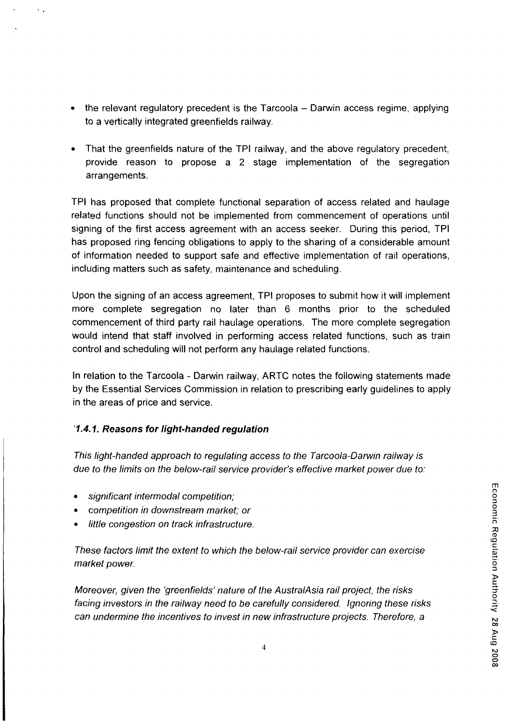ہ<br>∨ s

O O 00

- the relevant regulatory precedent is the Tarcoola  $-$  Darwin access regime, applying to a vertically integrated greenfields railway.
- That the greenfields nature of the TPI railway, and the above regulatory precedent, provide reason to propose a 2 stage implementation of the segregation arrangements.

TPI has proposed that complete functional separation of access related and haulage related functions should not be implemented from commencement of operations until signing of the first access agreement with an access seeker. During this period, TPI has proposed ring fencing obligations to apply to the sharing of a considerable amount of information needed to support safe and effective implementation of rail operations, including matters such as safety, maintenance and scheduling.

Upon the signing of an access agreement, TPI proposes to submit how it will implement more complete segregation no later than 6 months prior to the scheduled commencement of third party rail haulage operations. The more complete segregation would intend that staff involved in performing access related functions, such as train control and scheduling will not perform any haulage related functions.

In relation to the Tarcoola - Darwin railway, ARTC notes the following statements made by the Essential Services Commission in relation to prescribing early guidelines to apply in the areas of price and service.

# '1.4.1. Reasons for light-handed regulation

This light-handed approach to regulating access to the Tarcoola-Darwin railway is due to the limits on the below-rail service provider's effective market power due to:

significant intermodal competition;

 $\mathcal{L}_{\mathcal{A}}$ 

- competition in downstream market; or
- little congestion on track infrastructure.

These factors limit the extent to which the below-rail service provider can exercise market power.

Moreover, given the 'greenfields' nature of the AustralAsia rail project, the risks facing investors in the railway need to be carefully considered. Ignoring these risks can undermine the incentives to invest in new infrastructure projects. Therefore, a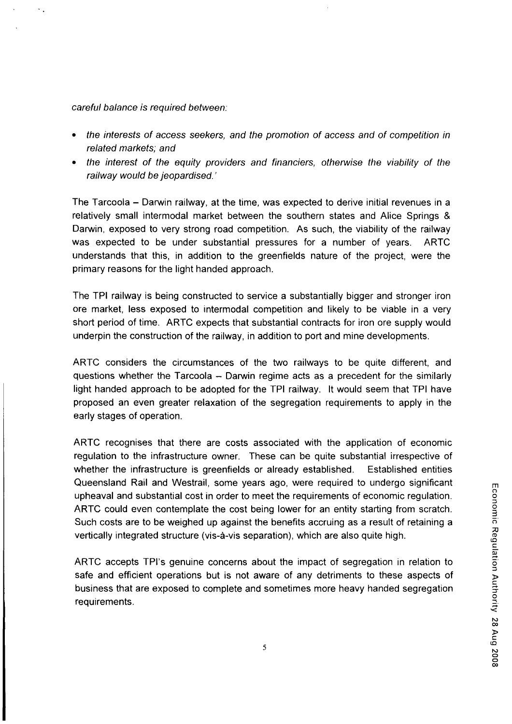#### careful balance is required between:

- the interests of access seekers, and the promotion of access and of competition in related markets; and
- the interest of the equity providers and financiers, otherwise the viability of the railway would be jeopardised.'

The Tarcoola – Darwin railway, at the time, was expected to derive initial revenues in a relatively small intermodal market between the southern states and Alice Springs & Darwin, exposed to very strong road competition. As such, the viability of the railway was expected to be under substantial pressures for a number of years. ARTC understands that this, in addition to the greenfields nature of the project, were the primary reasons for the light handed approach.

The TPI railway is being constructed to service a substantially bigger and stronger iron ore market, less exposed to intermodal competition and likely to be viable in a very short period of time. ARTC expects that substantial contracts for iron ore supply would underpin the construction of the railway, in addition to port and mine developments.

ARTC considers the circumstances of the two railways to be quite different, and questions whether the Tarcoola  $-$  Darwin regime acts as a precedent for the similarly light handed approach to be adopted for the TPI railway. It would seem that TPI have proposed an even greater relaxation of the segregation requirements to apply in the early stages of operation.

ARTC recognises that there are costs associated with the application of economic regulation to the infrastructure owner. These can be quite substantial irrespective of whether the infrastructure is greenfields or already established. Established entities Queensland Rail and Westrail, some years ago, were required to undergo significant upheaval and substantial cost in order to meet the requirements of economic regulation. ARTC could even contemplate the cost being lower for an entity starting from scratch. Such costs are to be weighed up against the benefits accruing as a result of retaining a vertically integrated structure (vis-à-vis separation), which are also quite high.

ARTC accepts TPI's genuine concerns about the impact of segregation in relation to safe and efficient operations but is not aware of any detriments to these aspects of business that are exposed to complete and sometimes more heavy handed segregation 5 requirements.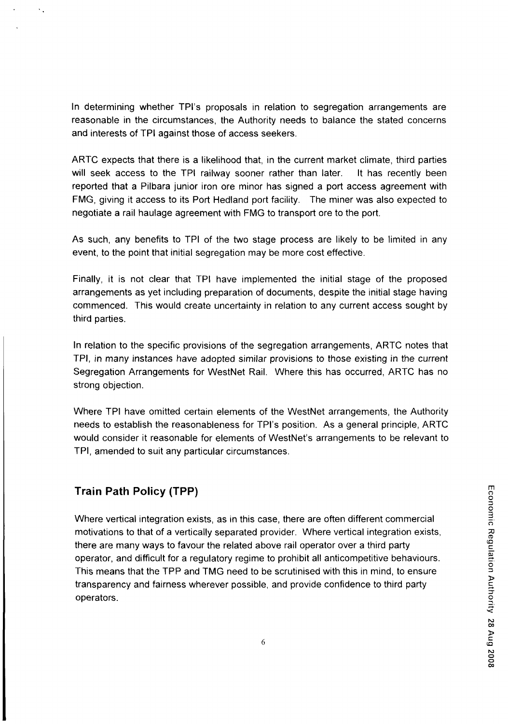In determining whether TPI's proposals in relation to segregation arrangements are reasonable in the circumstances, the Authority needs to balance the stated concerns and interests of TPI against those of access seekers.

ARTC expects that there is a likelihood that, in the current market climate, third parties will seek access to the TPI railway sooner rather than later. It has recently been reported that a Pilbara junior iron ore minor has signed a port access agreement with FMG, giving it access to its Port Hedland port facility. The miner was also expected to negotiate a rail haulage agreement with FMG to transport ore to the port.

As such, any benefits to TPI of the two stage process are likely to be limited in any event, to the point that initial segregation may be more cost effective.

Finally, it is not clear that TPI have implemented the initial stage of the proposed arrangements as yet including preparation of documents, despite the initial stage having commenced. This would create uncertainty in relation to any current access sought by third parties.

In relation to the specific provisions of the segregation arrangements, ARTC notes that TPI, in many instances have adopted similar provisions to those existing in the current Segregation Arrangements for WestNet Rail. Where this has occurred, ARTC has no strong objection.

Where TPI have omitted certain elements of the WestNet arrangements, the Authority needs to establish the reasonableness for TPI's position. As a general principle, ARTC would consider it reasonable for elements of WestNet's arrangements to be relevant to TPI, amended to suit any particular circumstances.

# Train Path Policy (TPP)

Where vertical integration exists, as in this case, there are often different commercial | motivations to that of a vertically separated provider. Where vertical integration exists, ^ there are many ways to favour the related above rail operator over a third party operator, and difficult for a regulatory regime to prohibit all anticompetitive behaviours. This means that the TPP and TMG need to be scrutinised with this in mind, to ensure = transparency and fairness wherever possible, and provide confidence to third party 5. operators.  $\overline{Q}$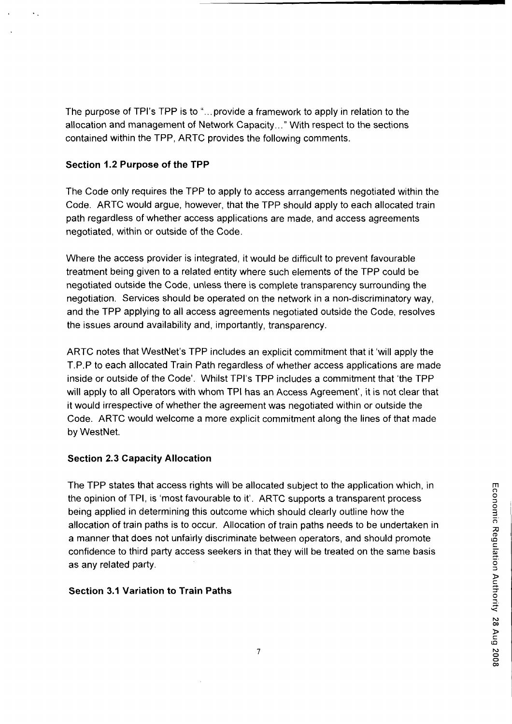The purpose of TPI's TPP is to "...provide a framework to apply in relation to the allocation and management of Network Capacity..." With respect to the sections contained within the TPP, ARTC provides the following comments.

# Section 1.2 Purpose of the TPP

The Code only requires the TPP to apply to access arrangements negotiated within the Code. ARTC would argue, however, that the TPP should apply to each allocated train path regardless of whether access applications are made, and access agreements negotiated, within or outside of the Code.

Where the access provider is integrated, it would be difficult to prevent favourable treatment being given to a related entity where such elements of the TPP could be negotiated outside the Code, unless there is complete transparency surrounding the negotiation. Services should be operated on the network in a non-discriminatory way, and the TPP applying to all access agreements negotiated outside the Code, resolves the issues around availability and, importantly, transparency.

ARTC notes that WestNet's TPP includes an explicit commitment that it 'will apply the T.P.P to each allocated Train Path regardless of whether access applications are made inside or outside of the Code'. Whilst TPI's TPP includes a commitment that 'the TPP will apply to all Operators with whom TPI has an Access Agreement', it is not clear that it would irrespective of whether the agreement was negotiated within or outside the Code. ARTC would welcome a more explicit commitment along the lines of that made by WestNet.

# Section 2.3 Capacity Allocation

The TPP states that access rights will be allocated subject to the application which, in the opinion of TPI, is 'most favourable to it'. ARTC supports a transparent process ° being applied in determining this outcome which should clearly outline how the allocation of train paths is to occur. Allocation of train paths needs to be undertaken in ^ a manner that does not unfairly discriminate between operators, and should promote confidence to third party access seekers in that they will be treated on the same basis as any related party.

# Section 3.1 Variation to Train Paths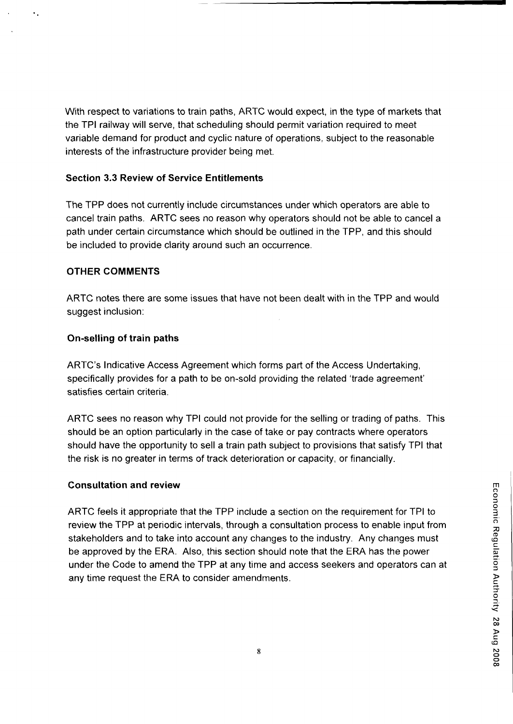With respect to variations to train paths, ARTC would expect, in the type of markets that the TPI railway will serve, that scheduling should permit variation required to meet variable demand for product and cyclic nature of operations, subject to the reasonable interests of the infrastructure provider being met.

#### Section 3.3 Review of Service Entitlements

The TPP does not currently include circumstances under which operators are able to cancel train paths. ARTC sees no reason why operators should not be able to cancel a path under certain circumstance which should be outlined in the TPP, and this should be included to provide clarity around such an occurrence.

#### OTHER COMMENTS

ARTC notes there are some issues that have not been dealt with in the TPP and would suggest inclusion:

#### On-selling of train paths

ARTC's Indicative Access Agreement which forms part of the Access Undertaking, specifically provides for a path to be on-sold providing the related 'trade agreement' satisfies certain criteria.

ARTC sees no reason why TPI could not provide for the selling or trading of paths. This should be an option particularly in the case of take or pay contracts where operators should have the opportunity to sell a train path subject to provisions that satisfy TPI that the risk is no greater in terms of track deterioration or capacity, or financially.

#### **Consultation and review**

ARTC feels it appropriate that the TPP include a section on the requirement for TPI to 3 review the TPP at periodic intervals, through a consultation process to enable input from ^ stakeholders and to take into account any changes to the industry. Any changes must be approved by the ERA. Also, this section should note that the ERA has the power w under the Code to amend the TPP at any time and access seekers and operators can at ° any time request the ERA to consider amendments.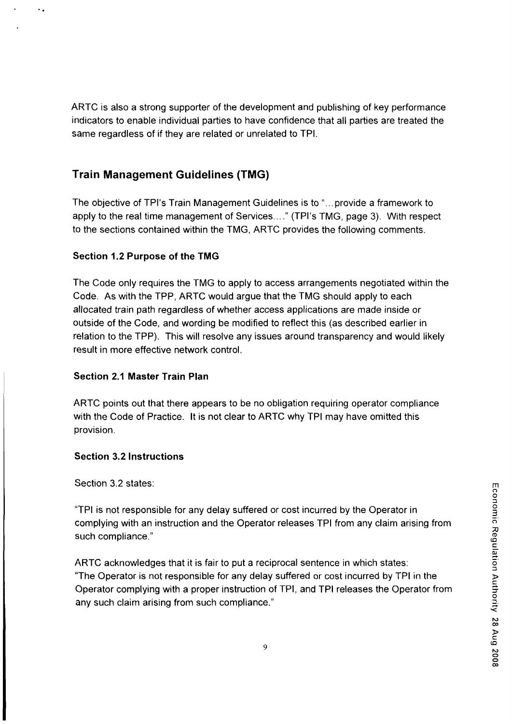ARTC is also a strong supporter of the development and publishing of key performance indicators to enable individual parties to have confidence that all parties are treated the same regardless of if they are related or unrelated to TPI.

# Train Management Guidelines (TMG)

The objective of TPI's Train Management Guidelines is to "...provide a framework to apply to the real time management of Services...." (TPI's TMG, page 3). With respect to the sections contained within the TMG, ARTC provides the following comments.

# Section 1.2 Purpose of the TMG

The Code only requires the TMG to apply to access arrangements negotiated within the Code. As with the TPP, ARTC would argue that the TMG should apply to each allocated train path regardless of whether access applications are made inside or outside of the Code, and wording be modified to reflect this (as described earlier in relation to the TPP). This will resolve any issues around transparency and would likely result in more effective network control.

# Section 2.1 Master Train Plan

ARTC points out that there appears to be no obligation requiring operator compliance with the Code of Practice. It is not clear to ARTC why TPI may have omitted this provision.

# Section 3.2 Instructions

Section 3.2 states:

<sup>3</sup>"TPI is not responsible for any delay suffered or cost incurred by the Operator in complying with an instruction and the Operator releases TPI from any claim arising from " such compliance."

ARTC acknowledges that it is fair to put a reciprocal sentence in which states: 5 "The Operator is not responsible for any delay suffered or cost incurred by TPI in the > Operator complying with a proper instruction of TPI, and TPI releases the Operator from ? any such claim arising from such compliance." ^